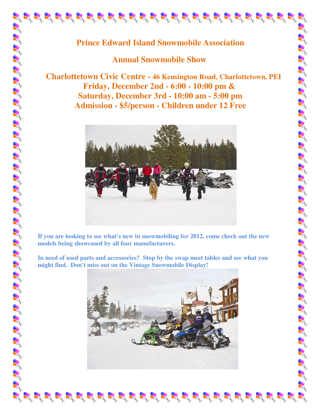## **Annual Snowmobile Show**

 **Charlottetown Civic Centre - 46 Kensington Road, Charlottetown, PEI Friday, December 2nd - 6:00 - 10:00 pm & Saturday, December 3rd - 10:00 am - 5:00 pm Admission - \$5/person - Children under 12 Free** 



**If you are looking to see what's new in snowmobiling for 2012, come check out the new models being showcased by all four manufacturers.** 

**In need of used parts and accessories? Stop by the swap meet tables and see what you might find. Don't miss out on the Vintage Snowmobile Display!**